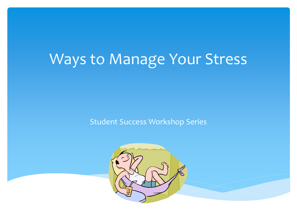# Ways to Manage Your Stress

Student Success Workshop Series

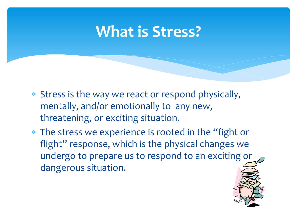### **What is Stress?**

- \* Stress is the way we react or respond physically, mentally, and/or emotionally to any new, threatening, or exciting situation.
- \* The stress we experience is rooted in the "fight or flight" response, which is the physical changes we undergo to prepare us to respond to an exciting or dangerous situation.

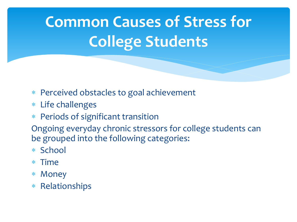# **Common Causes of Stress for College Students**

- Perceived obstacles to goal achievement
- Life challenges
- Periods of significant transition

Ongoing everyday chronic stressors for college students can be grouped into the following categories:

- \* School
- Time
- Money
- Relationships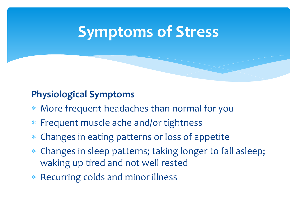### **Physiological Symptoms**

- More frequent headaches than normal for you
- Frequent muscle ache and/or tightness
- Changes in eating patterns or loss of appetite
- Changes in sleep patterns; taking longer to fall asleep; waking up tired and not well rested
- Recurring colds and minor illness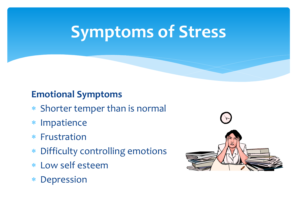### **Emotional Symptoms**

- Shorter temper than is normal
- Impatience
- Frustration
- Difficulty controlling emotions
- Low self esteem
- Depression

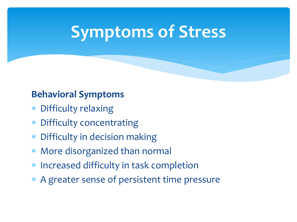### **Behavioral Symptoms**

- Difficulty relaxing
- Difficulty concentrating
- Difficulty in decision making
- More disorganized than normal
- Increased difficulty in task completion
- A greater sense of persistent time pressure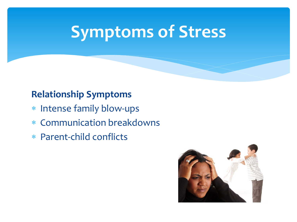### **Relationship Symptoms**

- \* Intense family blow-ups
- Communication breakdowns
- Parent-child conflicts

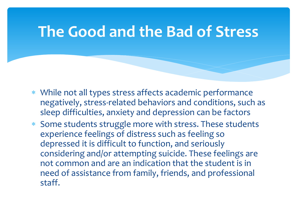### **The Good and the Bad of Stress**

- While not all types stress affects academic performance negatively, stress-related behaviors and conditions, such as sleep difficulties, anxiety and depression can be factors
- Some students struggle more with stress. These students experience feelings of distress such as feeling so depressed it is difficult to function, and seriously considering and/or attempting suicide. These feelings are not common and are an indication that the student is in need of assistance from family, friends, and professional staff.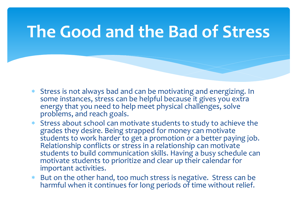## **The Good and the Bad of Stress**

- Stress is not always bad and can be motivating and energizing. In some instances, stress can be helpful because it gives you extra energy that you need to help meet physical challenges, solve problems, and reach goals.
- Stress about school can motivate students to study to achieve the grades they desire. Being strapped for money can motivate students to work harder to get a promotion or a better paying job. Relationship conflicts or stress in a relationship can motivate students to build communication skills. Having a busy schedule can motivate students to prioritize and clear up their calendar for important activities.
- But on the other hand, too much stress is negative. Stress can be harmful when it continues for long periods of time without relief.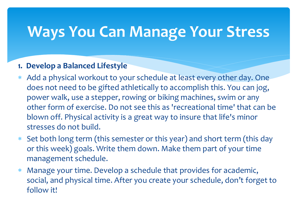#### **1. Develop a Balanced Lifestyle**

- Add a physical workout to your schedule at least every other day. One does not need to be gifted athletically to accomplish this. You can jog, power walk, use a stepper, rowing or biking machines, swim or any other form of exercise. Do not see this as 'recreational time' that can be blown off. Physical activity is a great way to insure that life's minor stresses do not build.
- Set both long term (this semester or this year) and short term (this day or this week) goals. Write them down. Make them part of your time management schedule.
- Manage your time. Develop a schedule that provides for academic, social, and physical time. After you create your schedule, don't forget to follow it!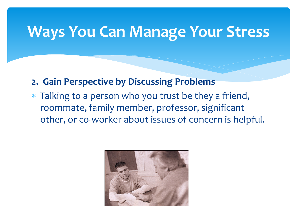- **2. Gain Perspective by Discussing Problems**
- Talking to a person who you trust be they a friend, roommate, family member, professor, significant other, or co-worker about issues of concern is helpful.

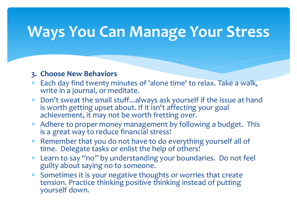#### **3. Choose New Behaviors**

- Each day find twenty minutes of 'alone time' to relax. Take a walk, write in a journal, or meditate.
- Don't sweat the small stuff...always ask yourself if the issue at hand is worth getting upset about. If it isn't affecting your goal achievement, it may not be worth fretting over.
- Adhere to proper money management by following a budget. This is a great way to reduce financial stress!
- Remember that you do not have to do everything yourself all of time. Delegate tasks or enlist the help of others!
- Learn to say "no" by understanding your boundaries. Do not feel guilty about saying no to someone.
- Sometimes it is your negative thoughts or worries that create tension. Practice thinking positive thinking instead of putting yourself down.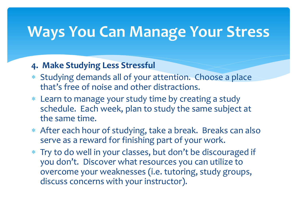#### **4. Make Studying Less Stressful**

- Studying demands all of your attention. Choose a place that's free of noise and other distractions.
- Learn to manage your study time by creating a study schedule. Each week, plan to study the same subject at the same time.
- After each hour of studying, take a break. Breaks can also serve as a reward for finishing part of your work.
- Try to do well in your classes, but don't be discouraged if you don't. Discover what resources you can utilize to overcome your weaknesses (i.e. tutoring, study groups, discuss concerns with your instructor).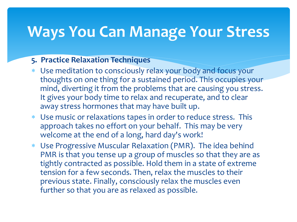#### **5. Practice Relaxation Techniques**

- Use meditation to consciously relax your body and focus your thoughts on one thing for a sustained period. This occupies your mind, diverting it from the problems that are causing you stress. It gives your body time to relax and recuperate, and to clear away stress hormones that may have built up.
- Use music or relaxations tapes in order to reduce stress. This approach takes no effort on your behalf. This may be very welcome at the end of a long, hard day's work!
- Use Progressive Muscular Relaxation (PMR). The idea behind PMR is that you tense up a group of muscles so that they are as tightly contracted as possible. Hold them in a state of extreme tension for a few seconds. Then, relax the muscles to their previous state. Finally, consciously relax the muscles even further so that you are as relaxed as possible.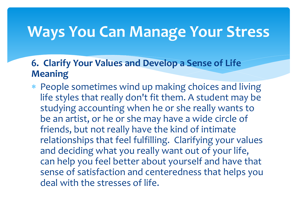### **6. Clarify Your Values and Develop a Sense of Life Meaning**

 People sometimes wind up making choices and living life styles that really don't fit them. A student may be studying accounting when he or she really wants to be an artist, or he or she may have a wide circle of friends, but not really have the kind of intimate relationships that feel fulfilling. Clarifying your values and deciding what you really want out of your life, can help you feel better about yourself and have that sense of satisfaction and centeredness that helps you deal with the stresses of life.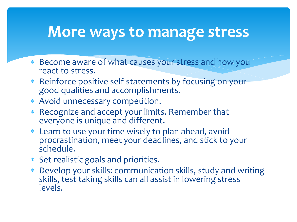### **More ways to manage stress**

- Become aware of what causes your stress and how you react to stress.
- Reinforce positive self-statements by focusing on your good qualities and accomplishments.
- Avoid unnecessary competition.
- \* Recognize and accept your limits. Remember that everyone is unique and different.
- Learn to use your time wisely to plan ahead, avoid procrastination, meet your deadlines, and stick to your schedule.
- Set realistic goals and priorities.
- Develop your skills: communication skills, study and writing skills, test taking skills can all assist in lowering stress levels.